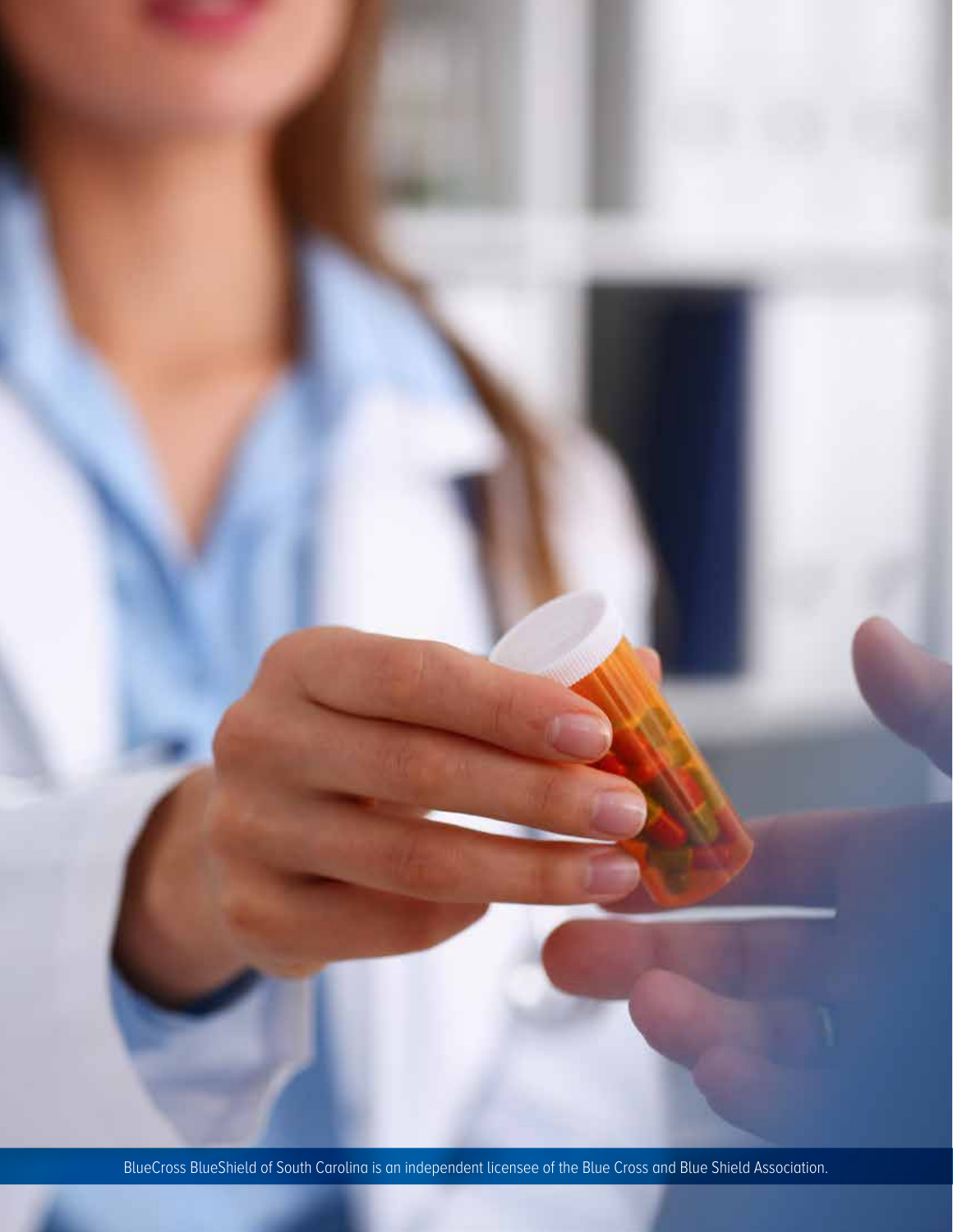